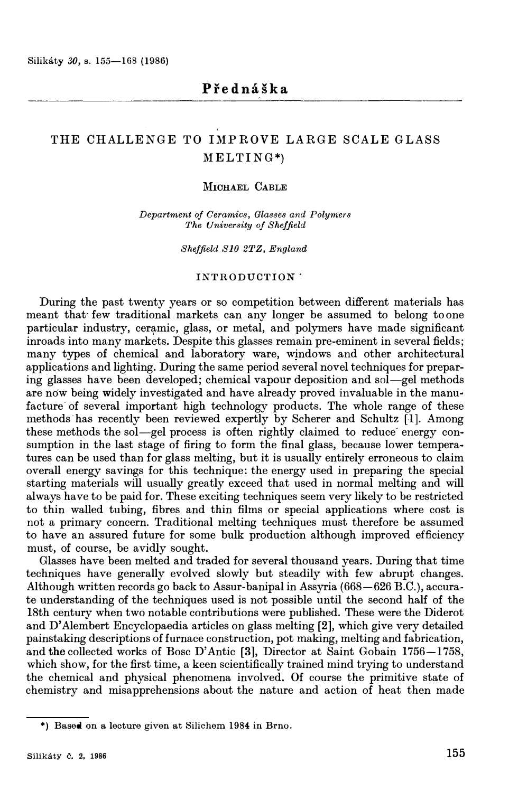# THE CHALLENGE TO IMPROVE LARGE SCALE GLASS ME LTING\*)

## **MICHAEL CABLE**

*Department of Ceramics, Glasses and Polymers The University of Sheffield* 

*Sheffield SJO 2TZ, England* 

#### INTRODUCTION

During the past twenty years or so competition between different materials has meant that few traditional markets can any longer be assumed to belong to one particular industry, ceramic, glass, or metal, and polymers have made significant inroads into many markets. Despite this glasses remain pre-eminent in several fields; many types of chemical and laboratory ware, windows and other architectural applications and lighting. During the same period several novel techniques for preparing glasses have been developed; chemical vapour deposition and sol-gel methods are now being widely investigated and have already proved invaluable in the manufacture of several important high technology products. The whole range of these methods has recently been reviewed expertly by Scherer and Schultz [l]. Among these methods the sol—gel process is often rightly claimed to reduce energy consumption in the last stage of firing to form the final glass, because lower temperatures can be used than for glass melting, but it is usually entirely erroneous to claim overall energy savings for this technique: the energy used in preparing the special starting materials will usually greatly exceed that used in normal melting and will always have to be paid for. These exciting techniques seem very likely to be restricted to thin walled tubing, fibres and thin films or special applications where cost is not a primary concern. Traditional melting techniques must therefore be assumed to have an assured future for some bulk production although improved efficiency must, of course, be avidly sought.

Glasses have been melted and traded for several thousand years. During that time techniques have generally evolved slowly but steadily with few abrupt changes. Although written records go back to Assur-banipal in Assyria (668-626 B.C.), accurate understanding of the techniques used is not possible until the second half of the 18th century when two notable contributions were published. These were the Diderot and **D'** Alembert Encyclopaedia articles on glass melting **[2],** which give very detailed painstaking descriptions of furnace construction, pot making, melting and fabrication, and **the** collected works of Bose **D'** Antic **[3),** Director at Saint Gobain 1756-1758, which show, for the first time, a keen scientifically trained mind trying to understand the chemical and physical phenomena involved. Of course the primitive state of chemistry and misapprehensions about the nature and action of heat then made

<sup>\*)</sup> Based on a lecture given at Silichem 1984 in Brno.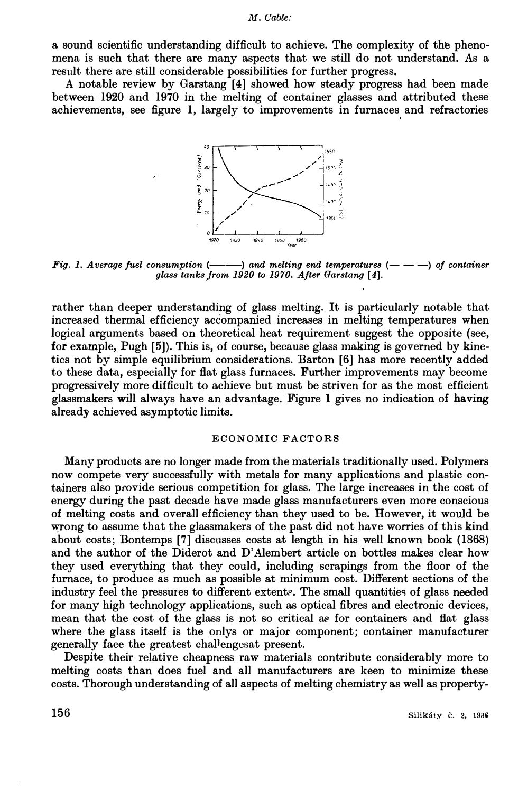a sound scientific understanding difficult to achieve. The complexity of the phenomena is such that there are many aspects that we still do not understand. As a result there are still considerable possibilities for further progress.

A notable review by Garstang [4] showed how steady progress had been made between 1920 and 1970 in the melting of container glasses and attributed these achievements, see figure 1, largely to improvements in furnaces and refractories



*Fig. 1. Average fuel consumption*  $(---)$  and melting end temperatures  $(---)$  of container *glass tanks.from 1920 to 1970. After Garstang [4].* 

rather than deeper understanding of glass melting. It is particularly notable that increased thermal efficiency accompanied increases in melting temperatures when logical arguments based on theoretical heat requirement suggest the opposite (see, for example, Pugh [5]). This is, of course, because glass making is governed by kinetics not by simple equilibrium considerations. Barton [6] has more recently added to these data, especially for flat glass furnaces. Further improvements may become progressively more difficult to achieve but must be striven for as the most efficient glassmakers **will** always have an advantage. Figure **1** gives no indication of **having**  already achieved asymptotic limits.

### **ECONOMIC FACTORS**

Many products are no longer made from the materials traditionally used. Polymers now compete very successfully with metals for many applications and plastic containers also provide serious competition for glass. The large increases in the cost of energy during the past decade have made glass manufacturers even more conscious of melting costs and overall efficiency than they used to be. However, it would be wrong to assume that the glassmakers of the past did not have worries of this kind about costs; Bontemps [7] discusses costs at length in his well known book (1868) and the author of the Diderot and D' Alembert article on bottles makes clear how they used everything that they could, including scrapings from the floor of the furnace, to produce as much as possible at minimum cost. Different sections of the industry feel the pressures to different extents. The small quantities of glass needed for many high technology applications, such as optical fibres and electronic devices, mean that the cost of the glass is not so critical as for containers and flat glass where the glass itself is the onlys or major component; container manufacturer generally face the greatest challengesat present.

Despite their relative cheapness raw materials contribute considerably more to melting costs than does fuel and all manufacturers are keen to minimize these costs. Thorough understanding of all aspects of melting chemistry as well as property-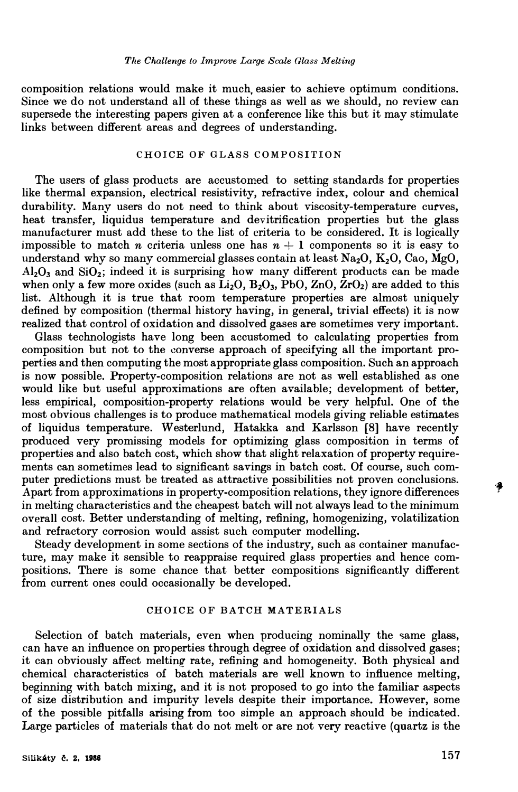composition relations would make it much, easier to achieve optimum conditions. Since we do not understand all of these things as well as we should, no review can supersede the interesting papers given at a conference like this but it may stimulate links between different areas and degrees of understanding.

## **CHOICE OF GLASS COMPOSITION**

The users of glass products are accustomed to setting standards for properties like thermal expansion, electrical resistivity, refractive index, colour and chemical durability. Many users do not need to think about viscosity-temperature curves, heat transfer, liquidus temperature and devitrification properties but the glass manufacturer must add these to the list of criteria to be considered. It is logically impossible to match *n* criteria unless one has  $n + 1$  components so it is easy to understand why so many commercial glasses contain at least Na**2**O, K**2**O, Cao, MgO,  $Al_2O_3$  and  $SiO_2$ ; indeed it is surprising how many different products can be made when only a few more oxides (such as  $\tilde{Li}_2O$ ,  $B_2O_3$ ,  $\tilde{P}bO$ ,  $ZnO$ ,  $ZrO_2$ ) are added to this list. Although it is true that room temperature properties are almost uniquely defined by composition (thermal history having, in general, trivial effects) it is now realized that control of oxidation and dissolved gases are sometimes very important.

Glass technologists have long been accustomed to calculating properties from composition but not to the converse approach of specifying all the important properties and then computing the most appropriate glass composition. Such an approach is now possible. Property-composition relations are not as well established as one would like but useful approximations are often available; development of better, less empirical, composition-property relations would be very helpful. One of the most obvious challenges is to produce mathematical models giving reliable estimates of liquidus temperature. Westerlund, Hatakka and Karlsson [8] have recently produced very promissing models for optimizing glass composition in terms of properties and also batch cost, which show that slight relaxation of property requirements can sometimes lead to significant savings in batch cost. Of course, such computer predictions must be treated as attractive possibilities not proven conclusions. Apart from approximations in property-composition relations, they ignore differences in melting characteristics and the cheapest batch will not always lead to the minimum overall cost. Better understanding of melting, refining, homogenizing, volatilization and refractory corrosion would assist such computer modelling.

Steady development in some sections of the industry, such as container manufacture, may make it sensible to reappraise required glass properties and hence compositions. There is some chance that better compositions significantly different from current ones could occasionally be developed.

#### **CHOICE OF BATCH MATERIALS**

Selection of batch materials, even when producing nominally the same glass, can have an influence on properties through degree of oxidation and dissolved gases; it can obviously affect melting rate, refining and homogeneity. Both physical and chemical characteristics of batch materials are well known to influence melting, beginning with batch mixing, and it is not proposed to go into the familiar aspects of size distribution and impurity levels despite their importance. However, some of the possible pitfalls arising from too simple an approach should be indicated. Large particles of materials that do not melt or are not very reactive (quartz is the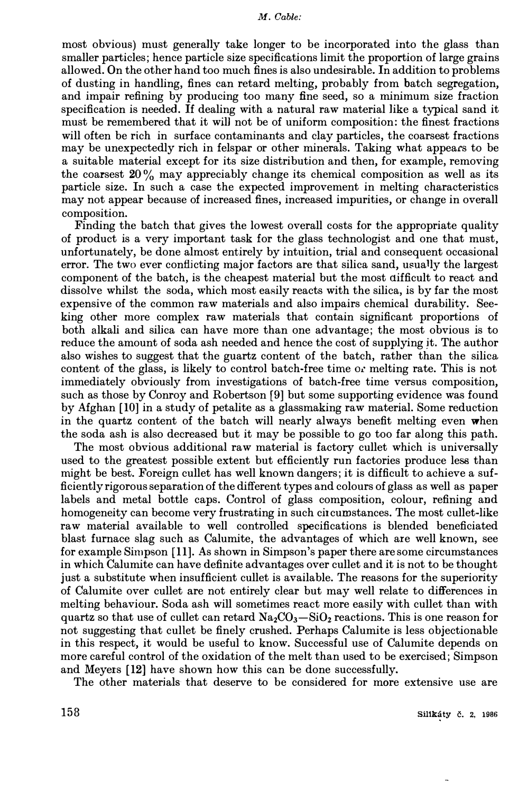most obvious) must generaJly take longer to be incorporated into the glass than smaller particles; hence particle size specifications limit the proportion of large grains allowed. On the other hand too much fines is also undesirable. In addition to problems of dusting in handling, fines can retard melting, probably from batch segregation, and impair refining by producing too many fine seed, so a minimum size fraction specification is needed. If dealing with a natural raw material Jike a typical sand it must be remembered that it will not be of uniform composition: the finest fractions will often be rich in surface contaminants and clay particles, the coarsest fractions may be unexpectedly rich in felspar or other minerals. Taking what appears to be a suitable material except for its size distribution and then, for example, removing the coarsest  $20\%$  may appreciably change its chemical composition as well as its particle size. In such a case the expected improvement in melting characteristics may not appear because of increased fines, increased impurities, or change in overall composition.

Finding the batch that gives the lowest overall costs for the appropriate quality of product is a very important task for the glass technologist and one that must, unfortunately, be done almost entirely by intuition, trial and consequent occasional error. The two ever conflicting major factors are that silica sand, usually the largest component of the batch, is the cheapest material but the most difficult to react and dissolve whilst the soda, which most easily reacts with the silica, is by far the most expensive of the common raw materials and also impairs chemical durability. Seeking other more complex raw materials that contain significant proportions of both alkali and silica can have more than one advantage; the most obvious is to reduce the amount of soda ash needed and hence the cost of supplying it. The author also wishes to suggest that the guartz content of the batch, rather than the silica content of the glass, is likely to control batch-free time or melting rate. This is not immediately obviously from investigations of batch-free time versus composition, such as those by Conroy and Robertson [9] but some supporting evidence was found by Afghan (10] in a study of petalite as a glassmaking raw material. Some reduction in the quartz content of the batch will nearly always benefit melting even when the soda ash is also decreased but it may be possible to go too far along this path.

The most obvious additional raw material is factory cullet which is universally used to the greatest possible extent but efficiently run factories produce less than might be best. Foreign cullet has well known dangers; it is difficult to achieve a sufficiently rigorous separation of the different types and colours of glass as well as paper labels and metal bottle caps. Control of glass composition, colour, refining and homogeneity can become very frustrating in such circumstances. The most cullet-like raw material available to well controlled specifications is blended beneficiated blast furnace slag such as Calumite, the advantages of which are well known, see for example Simpson (11 ]. As shown in Simpson's paper there are some circumstances in which Calumite can have definite advantages over cullet and it is not to be thought just a substitute when insufficient cullet is available. The reasons for the superiority of Calumite over cullet are not entirely clear but may well relate to differences in melting behaviour. Soda ash will sometimes react more easily with cullet than with quartz so that use of cullet can retard  $Na<sub>2</sub>CO<sub>3</sub> - SiO<sub>2</sub>$  reactions. This is one reason for not suggesting that cullet be finely crushed. Perhaps Calumite is less objectionable in this respect, it would be useful to know. Successful use of Calumite depends on more careful control of the oxidation of the melt than used to be exercised; Simpson and Meyers (12] have shown how this can be done successfully.

The other materials that deserve to be considered for more extensive use are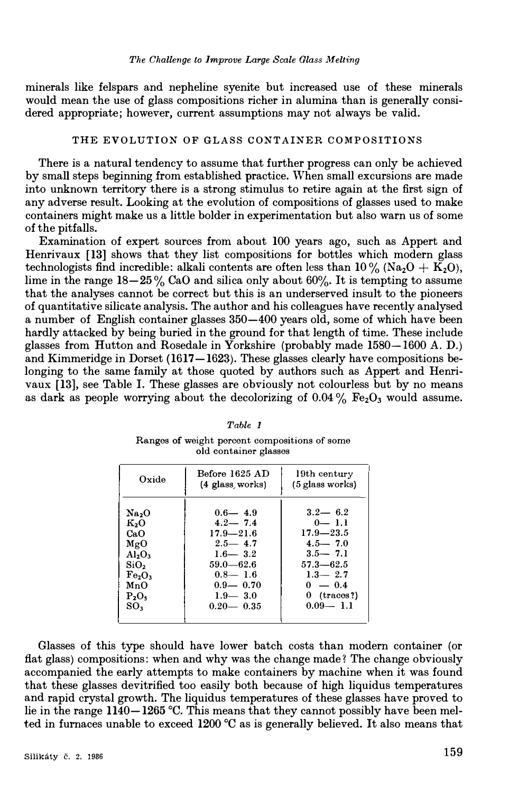minerals like felspars and nepheline syenite but increased use of these minerals would mean the use of glass compositions richer in alumina than is generally considered appropriate; however, current assumptions may not always be valid.

#### THE EVOLUTION OF GLASS CONTAINER COMPOSITIONS

There is a natural tendency to assume that further progress can only be achieved by small steps beginning from established practice. When small excursions are made into unknown territory there is a strong stimulus to retire again at the first sign of any adverse result. Looking at the evolution of compositions of glasses used to make containers might make us a little bolder in experimentation but also warn us of some of the pitfalls.

Examination of expert sources from about 100 years ago, such as Appert and Henrivaux **[13]** shows that they list compositions for bottles which modern glass technologists find incredible: alkali contents are often less than  $10\%$  (Na<sub>2</sub>O + K<sub>2</sub>O), lime in the range  $18-25\%$  CaO and silica only about 60%. It is tempting to assume that the analyses cannot be correct but this is an underserved insult to the pioneers of quantitative silicate analysis. The author and his colleagues have recently analysed a number of English container glasses 350-400 years old, some of which have been hardly attacked by being buried in the ground for that length of time. These include glasses from Hutton and Rosedale in Yorkshire (probably made 1580-1600 A. D.) and Kimmeridge in Dorset (1617-1623). These glasses clearly have compositions belonging to the same family at those quoted by authors such as Appert and Henrivaux [13], see Table I. These glasses are obviously not colourless but by no means as dark as people worrying about the decolorizing of  $0.04\%$  Fe<sub>2</sub>O<sub>3</sub> would assume.

| Oxide                                                                                                                                                             | Before 1625 AD<br>$(4$ glass works)                                                                                                                       | 19th century<br>(5 glass works)                                                                                                                       |
|-------------------------------------------------------------------------------------------------------------------------------------------------------------------|-----------------------------------------------------------------------------------------------------------------------------------------------------------|-------------------------------------------------------------------------------------------------------------------------------------------------------|
| Na <sub>2</sub> O<br>к.о<br>CaO.<br>MgO<br>A1.0.<br>SiO <sub>2</sub><br>Fe <sub>2</sub> O <sub>3</sub><br>MnO<br>P <sub>2</sub> O <sub>5</sub><br>SO <sub>3</sub> | $0.6 - 4.9$<br>$4.2 - 7.4$<br>$17.9 - 21.6$<br>$2.5 - 4.7$<br>$1.6 - 3.2$<br>$59.0 - 62.6$<br>$0.8 - 1.6$<br>$0.9 - 0.70$<br>$1.9 - 3.0$<br>$0.20 - 0.35$ | $3.2 - 6.2$<br>$0 - 1.1$<br>$17.9 - 23.5$<br>$4.5 - 7.0$<br>$3.5 - 7.1$<br>$57.3 - 62.5$<br>$1.3 - 2.7$<br>$0 - 0.4$<br>$0$ (traces?)<br>$0.09 - 1.1$ |
|                                                                                                                                                                   |                                                                                                                                                           |                                                                                                                                                       |

*Table 1*  **Ranges of weight percent compositions of some old container glasses** 

Glasses of this type should have lower batch costs than modern container (or flat glass) compositions: when and why was the change made? The change obviously accompanied the early attempts to make containers by machine when it was found that these glasses devitrified too easily both because of high liquidus temperatures and rapid crystal growth. The liquidus temperatures of these glasses have proved to lie in the range **1140-1265** °C. This means that they cannot possibly have been melted in furnaces unable to exceed **1200** °C as is generally believed. It also means that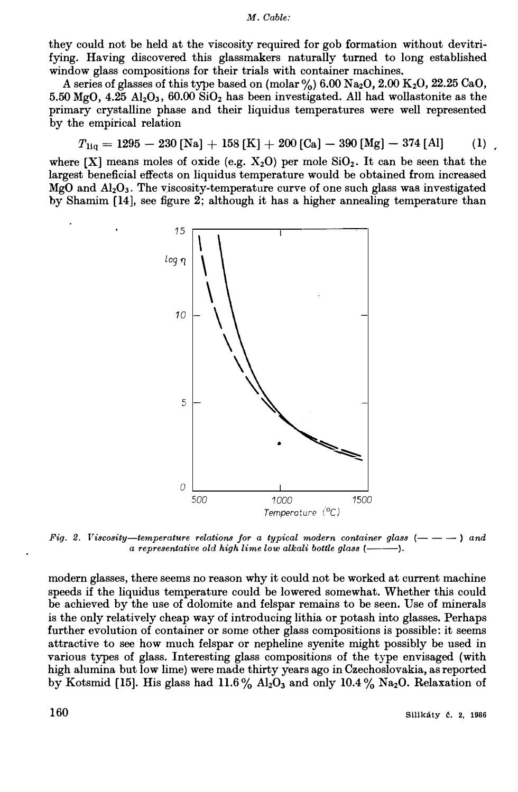they could not be held at the viscosity required for gob formation without devitrifying. Having discovered this glassmakers naturally turned to long established window glass compositions for their trials with container machines.

A series of glasses of this type based on  $(molar\%)$  6.00  $Na_2O$ , 2.00  $K_2O$ , 22.25 CaO, 5.50 MgO, 4.25 Al<sub>2</sub>O<sub>3</sub>, 60.00 SiO<sub>2</sub> has been investigated. All had wollastonite as the primary crystalline phase and their liquidus temperatures were well represented by the empirical relation

$$
T_{\text{liq}} = 1295 - 230 \text{ [Na]} + 158 \text{ [K]} + 200 \text{ [Ca]} - 390 \text{ [Mg]} - 374 \text{ [Al]} \tag{1}
$$

where  $[X]$  means moles of oxide (e.g.  $X_2O$ ) per mole  $SiO_2$ . It can be seen that the largest beneficial effects on liquidus temperature would be obtained from increased  $MgO$  and  $Al_2O_3$ . The viscosity-temperature curve of one such glass was investigated by Shamim [14], see figure 2; although it has a higher annealing temperature than



*Fig. 2. Viscosity-temperature relations for a typical modern container glass*  $(- - -)$  *and a representative old high lime low alkali bottle glass (-----------).* 

modern glasses, there seems no reason why it could not be worked at current machine speeds if the liquidus temperature could be lowered somewhat. Whether this could be achieved by the use of dolomite and felspar remains to be seen. Use of minerals is the only relatively cheap way of introducing lithia or potash into glasses. Perhaps further evolution of container or some other glass compositions is possible: it seems attractive to see how much felspar or nepheline syenite might possibly be used in various types of glass. Interesting glass compositions of the type envisaged (with high alumina but low lime) were made thirty years ago in Czechoslovakia, as reported by Kotsmid [15]. His glass had 11.6 % Al**2**0**3** and only 10.4 % Na**2**0. Relaxation of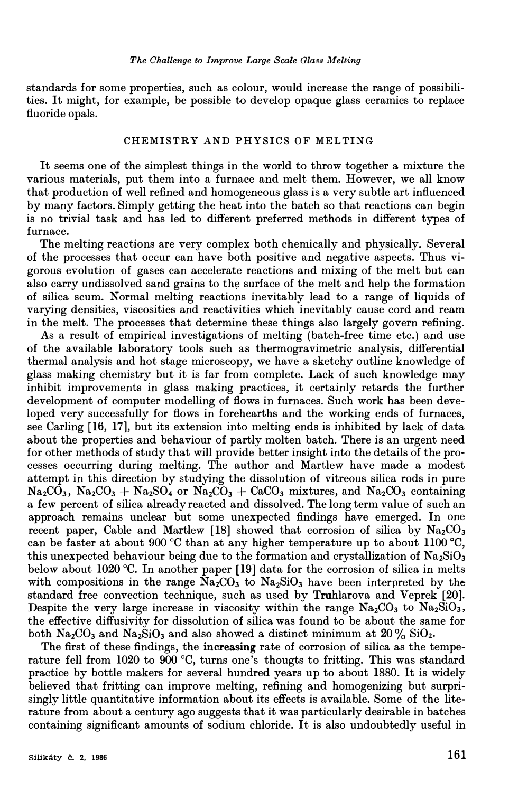standards for some properties, such as colour, would increase the range of possibilities. **It** might, for example, be possible to develop opaque glass ceramics to replace fluoride opals.

#### CHEMISTRY AND PHYSICS OF MELTING

**It** seems one of the simplest things in the world to throw together a mixture the various materials, put them into a furnace and melt them. However, we all know that production of well refined and homogeneous glass is a very subtle art influenced by many factors. Simply getting the heat into the batch so that reactions can begin is no trivial task and has led to different preferred methods in different types of furnace.

The melting reactions are very complex both chemically and physically. Several of the processes that occur can have both positive and negative aspects. Thus vigorous evolution of gases can accelerate reactions and mixing of the melt but can also carry undissolved sand grains to the surface of the melt and help the formation of silica scum. Normal melting reactions inevitably lead to a range of liquids of varying densities, viscosities and reactivities which inevitably cause cord and ream in the melt. The processes that determine these things also largely govern refining.

As a result of empirical investigations of melting (batch-free time etc.) and use of the available laboratory tools such as thermogravimetric analysis, differential thermal analysis and hot stage microscopy, we have a sketchy outline knowledge of glass making chemistry but it is far from complete. Lack of such knowledge may inhibit improvements in glass making practices, it certainly retards the further development of computer modelling of flows in furnaces. Such work has been developed very successfully for flows in forehearths and the working ends of furnaces, see Carling **[16, 17],** but its extension into melting ends is inhibited by lack of data about the properties and behaviour of partly molten batch. There is an urgent need for other methods of study that will provide better insight into the details of the processes occurring during melting. The author and Martlew have made a modest attempt in this direction by studying the dissolution of vitreous silica rods in pure  $\text{Na}_2\text{CO}_3$ ,  $\text{Na}_2\text{CO}_3 + \text{Na}_2\text{SO}_4$  or  $\text{Na}_2\text{CO}_3 + \text{Ca}_2\text{CO}_3$  mixtures, and  $\text{Na}_2\text{CO}_3$  containing a few percent of silica already reacted and dissolved. The long term value of such an approach remains unclear but some unexpected findings have emerged. In one recent paper, Cable and Martlew [18] showed that corrosion of silica by  $Na<sub>2</sub>CO<sub>3</sub>$ can be faster at about 900 °C than at any higher temperature up to about 1100 °C, this unexpected behaviour being due to the formation and crystallization of  $Na<sub>2</sub>SiO<sub>3</sub>$ below about 1020 °C. In another paper [19] data for the corrosion of silica in melts with compositions in the range  $Na_2CO_3$  to  $Na_2SiO_3$  have been interpreted by the standard free convection technique, such as used by Truhlarova and Veprek [20]. Despite the very large increase in viscosity within the range  $Na_2CO_3$  to  $Na_2SiO_3$ , the effective diffusivity for dissolution of silica was found to be about the same for both  $\text{Na}_2\text{CO}_3$  and  $\text{Na}_2\text{SiO}_3$  and also showed a distinct minimum at  $20\%$   $\text{SiO}_2$ .

The first of these findings, the **increasing** rate of corrosion of silica as the temperature fell from 1020 to 900 °C, turns one's thougts to fritting. This was standard practice by bottle makers for several hundred years up to about 1880. **It** is widely believed that fritting can improve melting, refining and homogenizing but surprisingly little quantitative information about its effects is available. Some of the literature from about a century ago suggests that it was particularly desirable in batches containing significant amounts of sodium chloride. It is also undoubtedly useful in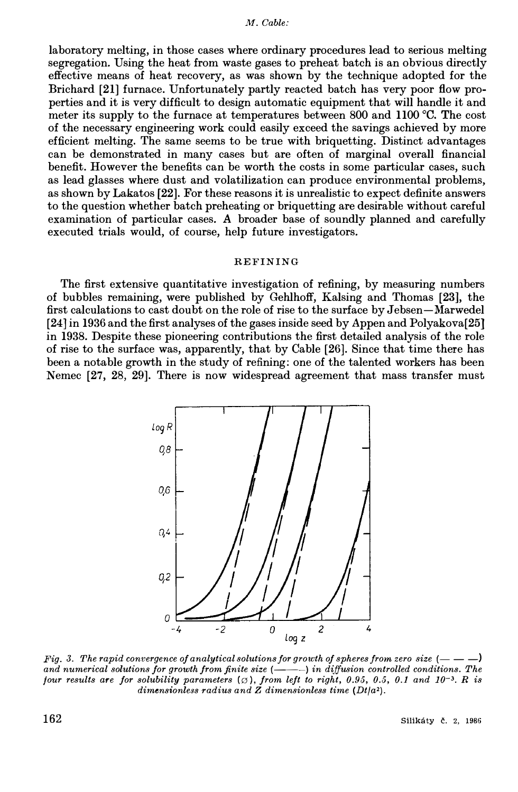laboratory melting, in those cases where ordinary procedures lead to serious melting segregation. Using the heat from waste gases to preheat batch is an obvious directly effective means of heat recovery, as was shown by the technique adopted for the Brichard **[21]** furnace. Unfortunately partly reacted batch has very poor flow properties and it is very difficult to design automatic equipment that will handle it and meter its supply to the furnace at temperatures between 800 and 1100 °C. The cost of the necessary engineering work could easily exceed the savings achieved by more efficient melting. The same seems to be true with briquetting. Distinct advantages can be demonstrated in many cases but are often of marginal overall financial benefit. However the benefits can be worth the costs in some particular cases, such as lead glasses where dust and volatilization can produce environmental problems, as shown by Lakatos **[22].** For these reasons it is unrealistic to expect definite answers to the question whether batch preheating or briquetting are desirable without careful examination of particular cases. *A* broader base of soundly planned and carefully executed trials would, of course, help future investigators.

#### REFINING

The first extensive quantitative investigation of refining, by measuring numbers of bubbles remaining, were published by Gehlhoff, Kalsing and Thomas **[23],** the first calculations to cast doubt on the role of rise to the surface by Jebsen-Marwedel [24] in 1936 and the first analyses of the gases inside seed by Appen and Polyakova[25] in 1938. Despite these pioneering contributions the first detailed analysis of the role of rise to the surface was, apparently, that by Cable [26]. Since that time there has been a notable growth in the study of refining: one of the talented workers has been Nemec **[27, 28, 29].** There is now widespread agreement that mass transfer must



Fig. 3. The rapid convergence of analytical solutions for growth of spheres from zero size  $(---)$ and numerical solutions for growth from finite size  $(---)$  in diffusion controlled conditions. The *four results are for solubility parameters*  $(\emptyset)$ , *from left to right, 0.95, 0.5, 0.1 and 10<sup>-3</sup>. R is dimensionless radius and Z dimensionless time (Dt/a2).*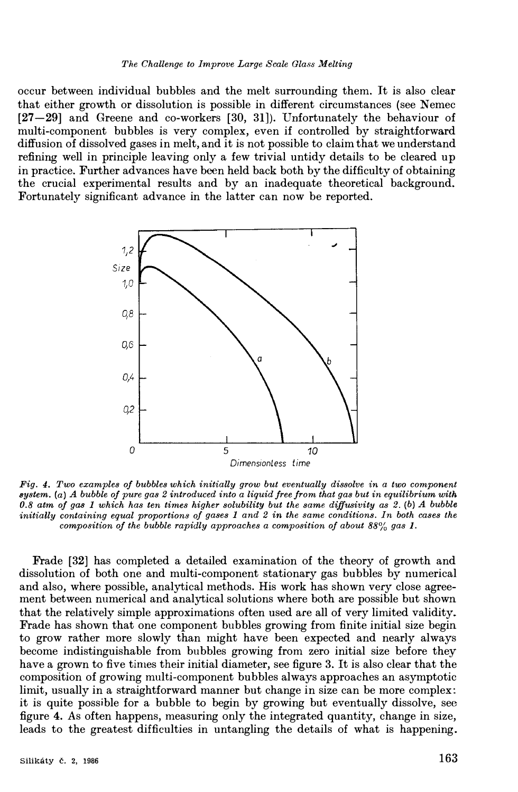occur between individual bubbles and the melt surrounding them. It is also clear that either growth or dissolution is possible in different circumstances (see Nemec [27-29] and Greene and co-workers [30, 31]). Unfortunately the behaviour of multi-component bubbles is very complex, even if controlled by straightforward diffusion of dissolved gases in melt, and it is not possible to claim that we understand refining well in principle leaving only a few trivial untidy details to be cleared up in practice. Further advances have been held back both by the difficulty of obtaining the crucial experimental results and by an inadequate theoretical background. Fortunately significant advance in the latter can now be reported.



*Fig. 4. Two examples of bubbles which initially grow but eventually dissolve in a two component system. (a) A bubble of pure gas 2 introduced into a liquid free from that gas but in equilibrium with 0.8 atm of gas 1 which has ten times higher solubility but the same diffusivity as 2. (b) A bubble initially containing equal proportions of gases 1 and 2 in the same conditions. In both cases the composition of the bubble rapidly approaches a composition of about 88% gas 1.* 

Frade [32] has completed a detailed examination of the theory of growth and dissolution of both one and multi-component stationary gas bubbles by numerical and also, where possible, analytical methods. His work has shown very close agreement between numerical and analytical solutions where both are possible but shown that the relatively simple approximations often used are all of very limited validity. Frade has shown that one component bubbles growing from finite initial size begin to grow rather more slowly than might have been expected and nearly always become indistinguishable from bubbles growing from zero initial size before they have a grown to five times their initial diameter, see figure 3. It is also clear that the composition of growing multi-component bubbles always approaches an asymptotic limit, usually in a straightforward manner but change in size can be more complex: it is quite possible for a bubble to begin by growing but eventually dissolve, see figure 4. As often happens, measuring only the integrated quantity, change in size, leads to the greatest difficulties in untangling the details of what is happening.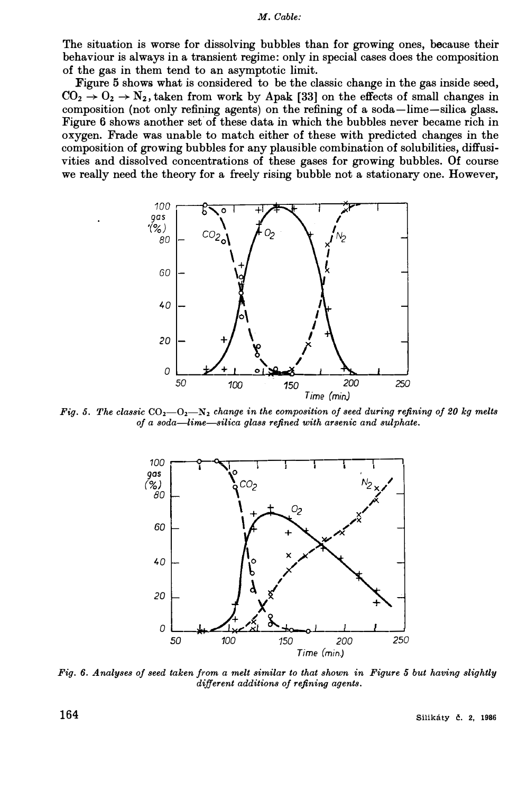**The situation is worse for dissolving bubbles than for growing ones, because their behaviour is always in a transient regime: only in special cases does the composition of the gas in them tend to an asymptotic limit.** 

**Figure 5 shows what is considered to be the classic change in the gas inside seed,**   $CO_2 \rightarrow O_2 \rightarrow N_2$ , taken from work by Apak [33] on the effects of small changes in **composition (not only refining agents) on the refining of a soda-lime-silica glass.**  Figure 6 shows another set of these data in which the bubbles never became rich in **oxygen. Frade was unable to match either of these with predicted changes in the composition of growing bubbles for any plausible combination of solubilities, diffusivities and dissolved concentrations of these gases for growing bubbles. Of course we really need the theory for a freely rising bubble not a stationary one. However,** 



*Fig.* 5. The classic  $CO_2-O_2-N_2$  change in the composition of seed during refining of 20 kg melts *of a soda-lime-silica glass refined with arsenic and sulphate.* 



*Fig. 6. Analyses of seed taken from a melt similar to that shown in Figure 5 but having slightly different additions of refining agents.* 

 $164$  Silikáty č. 2, 1986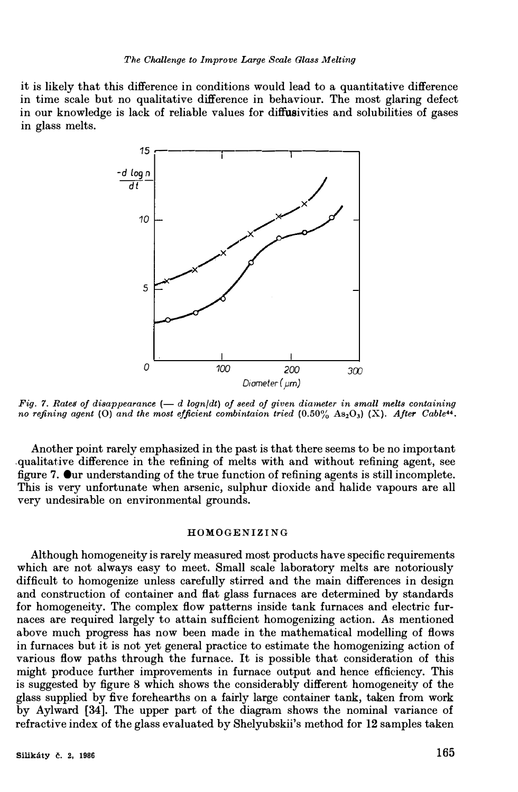it is likely that this difference in conditions would lead to a quantitative difference in time scale but no qualitative difference in behaviour. The most glaring defect in our knowledge is lack of reliable values for diffusivities and solubilities of gases in glass melts.



 $Fig. 7. Rates of disappearance  $(-d \text{log } n/dt)$  of seed of given diameter in small melts containing$ *no refining agent (O) and the most efficient combintaion tried*  $(0.50\% \text{ As}_2O_3)$  *(X). After Cable<sup>44</sup>* 

Another point rarely emphasized in the past is that there seems to be no important .qualitative difference in the refining of melts with and without refining agent, see figure 7. Our understanding of the true function of refining agents is still incomplete. This is very unfortunate when arsenic, sulphur dioxide and halide vapours are all very undesirable on environmental grounds.

### HOMOGENIZING

Although homogeneity is rarely measured most products have specific requirements which are not always easy to meet. Small scale laboratory melts are notoriously difficult to homogenize unless carefully stirred and the main differences in design and construction of container and flat glass furnaces are determined by standards for homogeneity. The complex flow patterns inside tank furnaces and electric furnaces are required largely to attain sufficient homogenizing action. As mentioned above much progress has now been made in the mathematical modelling of flows in furnaces but it is not yet general practice to estimate the homogenizing action of various flow paths through the furnace. It is possible that consideration of this might produce further improvements in furnace output and hence efficiency. This is suggested by figure 8 which shows the considerably different homogeneity of the glass supplied by five forehearths on a fairly large container tank, taken from work by Aylward (34]. The upper part of the diagram shows the nominal variance of refractive index of the glass evaluated by Shelyubskii's method for 12 samples taken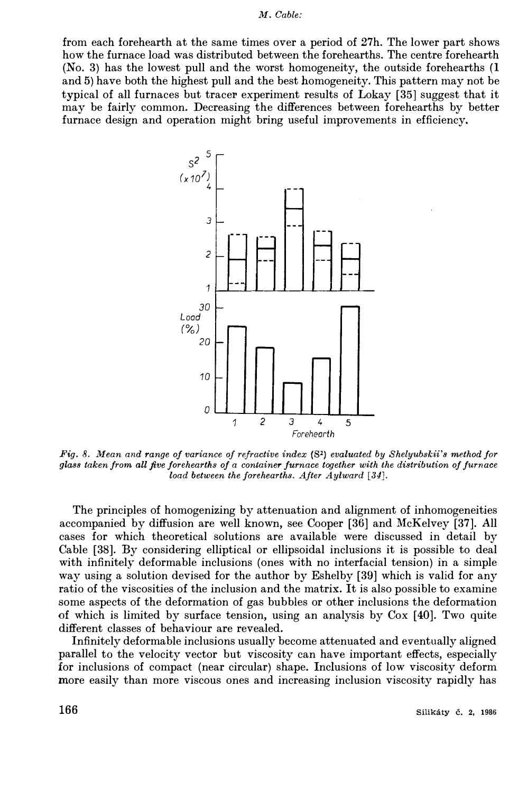from each forehearth at the same times over a period of 27h. The lower part shows how the furnace load was distributed between the forehearths. The centre forehearth (No. 3) has the lowest pull and the worst homogeneity, the outside forehearths (I and 5) have both the highest pull and the best homogeneity. This pattern may not be typical of all furnaces but tracer experiment results of Lokay [35) suggest that it may be fairly common. Decreasing the differences between forehearths by better furnace design and operation might bring useful improvements in efficiency.



*Fig. 8. Mean and range of variance of refractive index* **(S**2) *evaluated by Shelyubskii's method for glass taken from all five forehearths of a container furnace together with the distribution of furnace load between the forehearths. After Aylward [34].* 

The principles of homogenizing by attenuation and alignment of inhomogeneities accompanied by diffusion are well known, see Cooper [36) and McKelvey [37). All cases for which theoretical solutions are available were discussed in detail by Cable [38]. By considering elliptical or ellipsoidal inclusions it is possible to deal with infinitely deformable inclusions (ones with no interfacial tension) in a simple way using a solution devised for the author by Eshelby [39) which is valid for any ratio of the viscosities of the inclusion and the matrix. It is also possible to examine some aspects of the deformation of gas bubbles or other inclusions the deformation of which is limited by surface tension, using an analysis by Cox [ 40). Two quite different classes of behaviour are revealed.

Infinitely deformable inclusions usually become attenuated and eventually aligned parallel to the velocity vector but viscosity can have important effects, especially for inclusions of compact (near circular) shape. Inclusions of low viscosity deform more easily than more viscous ones and increasing inclusion viscosity rapidly has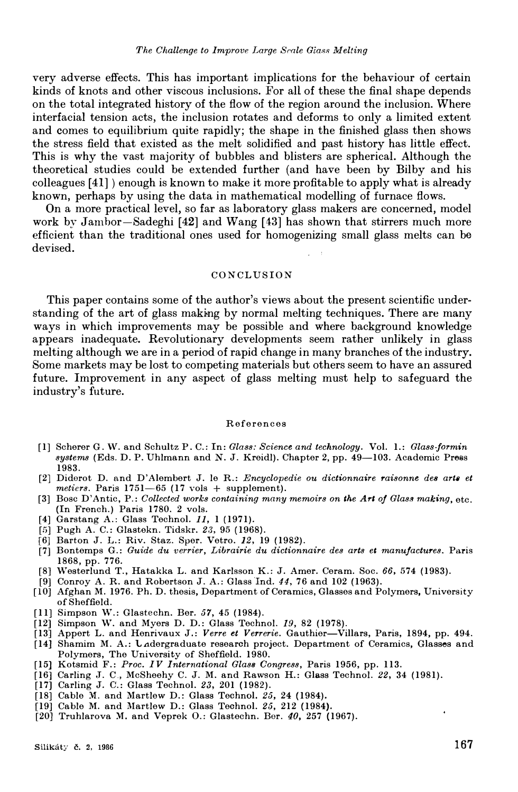very adverse effects. This has important implications for the behaviour of certain kinds of knots and other viscous inclusions. For all of these the final shape depends on the total integrated history of the flow of the region around the inclusion. Where interfacial tension acts, the inclusion rotates and deforms to only a limited extent and comes to equilibrium quite rapidly; the shape in the finished glass then shows the stress field that existed as the melt solidified and past history has little effect. This is why the vast majority of bubbles and blisters are spherical. Although the theoretical studies could be extended further (and have been by Bilby and his colleagues [41]) enough is known to make it more profitable to apply what is already known, perhaps by using the data in mathematical modelling of furnace flows.

On a more practical level, so far as laboratory glass makers are concerned, model work by Jambor-Sadeghi [42] and Wang [43] has shown that stirrers much more efficient than the traditional ones used for homogenizing small glass melts can be devised.

## **CONCLUSION**

This paper contains some of the author's views about the present scientific understanding of the art of glass mak�ng by normal melting techniques. There are many ways in which improvements may be possible and where background knowledge appears inadequate. Revolutionary developments seem rather unlikely in glass melting although we are in a period of rapid change in many branches of the industry. Some markets may be lost to competing materials but others seem to have an assured future. Improvement in any aspect of glass melting must help to safeguard the industry's future.

#### References

- [11 Scherer G. vV. and Schultz P. C.: In: *Glass: Science and technology.* Vol. 1.: *Glass-Jarmin systems* (Eds. D. P. Uhlmann and N. J. Kreidl). Chapter 2, pp. 49—103. Academic Press 1983.
- [21 Diderot D. and D'Alembert J. le R.: *Encyclopedie ou dictionnaire raisonne des arta et*   $meters.$  Paris  $1751-65$  (17 vols  $+$  supplement).
- [3] Bose D'Antic, P.: *Collected works containing many memoirs on the Art of Glass making, etc.* (In French.) Paris 1780. 2 vols.
- [41 Garstang A.: Glass Technol. *11,* 1 (1971).
- [51 Pugh A. C.: Glastekn. Tidskr. *23,* 95 (1968).
- [6] Barton J. L.: Riv. Staz. Sper. Vetro. *12,* 19 (1982).
- [7] Bontemps G.: *Guide du verrier, Librairie du dictionnaire des arts et manufactures.* Paris 1868, pp. 776.
- [8] Westerlund T., Hatakka L. and Karlsson K.: J. Amer. Ceram. Soc. *66,* 574 (1983).
- [9] Conroy A. R. and Robertson J. A.: Glass Ind. *44,* 76 and 102 (1963).
- [10) Afghan M. 1976. Ph.D. thesis, Department of Ceramics, Glasses and Polymers, University of Sheffield.
- [111 Simpson W.: Glastechn. Ber. *57,* 45 (1984).
- [121 Simpson W. and Myers D. D.: Glass Technol. *19,* 82 (1978).
- [131 Appert L. and Henrivaux J.: *Verre et Verrerie.* Gauthier-Villars, Paris, 1894, pp. 494.
- [14] Shamim M. A.: Ladergraduate research project. Department of Ceramics, Glasses and Polymers, The University of Sheffield. 1980.
- [15] Kotsmid F.: *Proc. IV International Glass Congress,* Paris 1956, pp. 113.
- [16] Carling ,T. C., McSheehy C. J. M. and RaWBon H.: Glass Technol. *22,* 34 (1981).
- [17] Carling J. C.: Glass Technol. *23,* 201 (1982).
- [18] Cable M. and Martlew D.: Glass Technol. 25, 24 (1984).
- (19) Cable M. and J\Iartlew D.: Glass Technol. *25,* 212 (1984).
- [20] Truhlarova M. and Veprek O.: Glastechn. Ber. 40, 257 (1967).